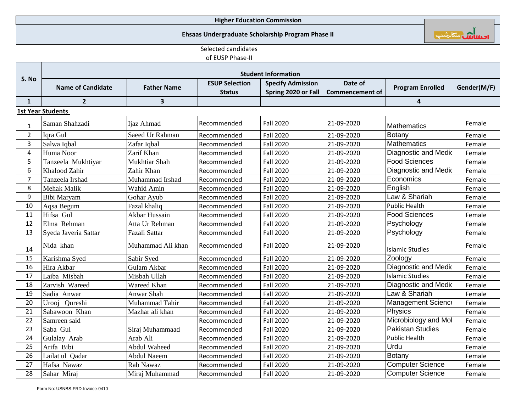#### **Higher Education Commission**

#### **Ehsaas Undergraduate Scholarship Program Phase II**

اصلىلاش سكارشپ

## Selected candidates of EUSP Phase-II

| S. No                   | <b>Student Information</b> |                    |                       |                          |                        |                             |             |  |
|-------------------------|----------------------------|--------------------|-----------------------|--------------------------|------------------------|-----------------------------|-------------|--|
|                         |                            |                    | <b>ESUP Selection</b> | <b>Specify Admission</b> | Date of                |                             |             |  |
|                         | <b>Name of Candidate</b>   | <b>Father Name</b> | <b>Status</b>         | Spring 2020 or Fall      | <b>Commencement of</b> | <b>Program Enrolled</b>     | Gender(M/F) |  |
| $\mathbf{1}$            | $\overline{2}$             | 3                  |                       |                          |                        | 4                           |             |  |
|                         | 1st Year Students          |                    |                       |                          |                        |                             |             |  |
| $\mathbf{1}$            | Saman Shahzadi             | Ijaz Ahmad         | Recommended           | <b>Fall 2020</b>         | 21-09-2020             | <b>Mathematics</b>          | Female      |  |
| $\overline{2}$          | Iqra Gul                   | Saeed Ur Rahman    | Recommended           | <b>Fall 2020</b>         | 21-09-2020             | Botany                      | Female      |  |
| 3                       | Salwa Iqbal                | Zafar Iqbal        | Recommended           | <b>Fall 2020</b>         | 21-09-2020             | <b>Mathematics</b>          | Female      |  |
| $\overline{\mathbf{4}}$ | Huma Noor                  | Zarif Khan         | Recommended           | <b>Fall 2020</b>         | 21-09-2020             | Diagnostic and Medio        | Female      |  |
| 5                       | Tanzeela Mukhtiyar         | Mukhtiar Shah      | Recommended           | <b>Fall 2020</b>         | 21-09-2020             | <b>Food Sciences</b>        | Female      |  |
| 6                       | Khalood Zahir              | Zahir Khan         | Recommended           | <b>Fall 2020</b>         | 21-09-2020             | Diagnostic and Medio        | Female      |  |
| $\overline{7}$          | Tanzeela Irshad            | Muhammad Irshad    | Recommended           | <b>Fall 2020</b>         | 21-09-2020             | Economics                   | Female      |  |
| 8                       | <b>Mehak Malik</b>         | Wahid Amin         | Recommended           | <b>Fall 2020</b>         | 21-09-2020             | English                     | Female      |  |
| 9                       | Bibi Maryam                | Gohar Ayub         | Recommended           | <b>Fall 2020</b>         | 21-09-2020             | Law & Shariah               | Female      |  |
| 10                      | Aqsa Begum                 | Fazal khaliq       | Recommended           | <b>Fall 2020</b>         | 21-09-2020             | <b>Public Health</b>        | Female      |  |
| 11                      | Hifsa Gul                  | Akbar Hussain      | Recommended           | <b>Fall 2020</b>         | 21-09-2020             | Food Sciences               | Female      |  |
| 12                      | Elma Rehman                | Atta Ur Rehman     | Recommended           | <b>Fall 2020</b>         | 21-09-2020             | Psychology                  | Female      |  |
| 13                      | Syeda Javeria Sattar       | Fazali Sattar      | Recommended           | <b>Fall 2020</b>         | 21-09-2020             | Psychology                  | Female      |  |
| 14                      | Nida khan                  | Muhammad Ali khan  | Recommended           | <b>Fall 2020</b>         | 21-09-2020             | <b>Islamic Studies</b>      | Female      |  |
| 15                      | Karishma Syed              | Sabir Syed         | Recommended           | <b>Fall 2020</b>         | 21-09-2020             | Zoology                     | Female      |  |
| 16                      | Hira Akbar                 | Gulam Akbar        | Recommended           | <b>Fall 2020</b>         | 21-09-2020             | <b>Diagnostic and Medio</b> | Female      |  |
| 17                      | Laiba Misbah               | Misbah Ullah       | Recommended           | <b>Fall 2020</b>         | 21-09-2020             | <b>Islamic Studies</b>      | Female      |  |
| 18                      | Zarvish Wareed             | Wareed Khan        | Recommended           | <b>Fall 2020</b>         | 21-09-2020             | Diagnostic and Medio        | Female      |  |
| 19                      | Sadia Anwar                | Anwar Shah         | Recommended           | <b>Fall 2020</b>         | 21-09-2020             | Law & Shariah               | Female      |  |
| 20                      | Urooj Qureshi              | Muhammad Tahir     | Recommended           | <b>Fall 2020</b>         | 21-09-2020             | <b>Management Science</b>   | Female      |  |
| 21                      | Sabawoon Khan              | Mazhar ali khan    | Recommended           | <b>Fall 2020</b>         | 21-09-2020             | Physics                     | Female      |  |
| 22                      | Samreen said               |                    | Recommended           | <b>Fall 2020</b>         | 21-09-2020             | Microbiology and Mol        | Female      |  |
| 23                      | Saba Gul                   | Siraj Muhammaad    | Recommended           | <b>Fall 2020</b>         | 21-09-2020             | <b>Pakistan Studies</b>     | Female      |  |
| 24                      | Gulalay Arab               | Arab Ali           | Recommended           | <b>Fall 2020</b>         | 21-09-2020             | <b>Public Health</b>        | Female      |  |
| 25                      | Arifa Bibi                 | Abdul Waheed       | Recommended           | <b>Fall 2020</b>         | 21-09-2020             | Urdu                        | Female      |  |
| 26                      | Lailat ul Qadar            | Abdul Naeem        | Recommended           | <b>Fall 2020</b>         | 21-09-2020             | Botany                      | Female      |  |
| 27                      | Hafsa Nawaz                | Rab Nawaz          | Recommended           | <b>Fall 2020</b>         | 21-09-2020             | <b>Computer Science</b>     | Female      |  |
| 28                      | Sahar Miraj                | Miraj Muhammad     | Recommended           | <b>Fall 2020</b>         | 21-09-2020             | <b>Computer Science</b>     | Female      |  |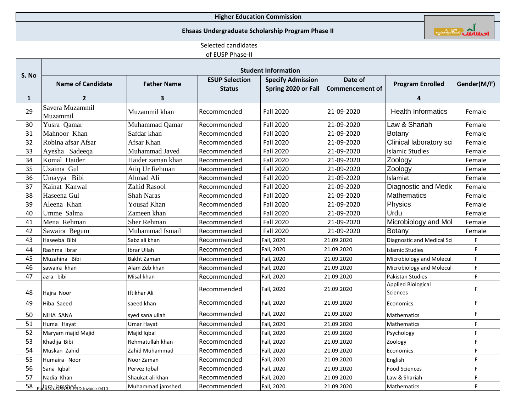# **Ehsaas Undergraduate Scholarship Program Phase II**



## Selected candidates

# of EUSP Phase-II

|              | <b>Student Information</b>    |                     |                                        |                                                 |                                   |                                              |             |  |  |
|--------------|-------------------------------|---------------------|----------------------------------------|-------------------------------------------------|-----------------------------------|----------------------------------------------|-------------|--|--|
| S. No        | <b>Name of Candidate</b>      | <b>Father Name</b>  | <b>ESUP Selection</b><br><b>Status</b> | <b>Specify Admission</b><br>Spring 2020 or Fall | Date of<br><b>Commencement of</b> | <b>Program Enrolled</b>                      | Gender(M/F) |  |  |
| $\mathbf{1}$ | $\overline{2}$                | 3                   |                                        |                                                 |                                   | 4                                            |             |  |  |
| 29           | Savera Muzammil<br>Muzammil   | Muzammil khan       | Recommended                            | <b>Fall 2020</b>                                | 21-09-2020                        | <b>Health Informatics</b>                    | Female      |  |  |
| 30           | Yusra Qamar                   | Muhammad Qamar      | Recommended                            | <b>Fall 2020</b>                                | 21-09-2020                        | Law & Shariah                                | Female      |  |  |
| 31           | Mahnoor Khan                  | Safdar khan         | Recommended                            | <b>Fall 2020</b>                                | 21-09-2020                        | Botany                                       | Female      |  |  |
| 32           | Robina afsar Afsar            | Afsar Khan          | Recommended                            | <b>Fall 2020</b>                                | 21-09-2020                        | Clinical laboratory sci                      | Female      |  |  |
| 33           | Ayesha Sadeeqa                | Muhammad Javed      | Recommended                            | Fall 2020                                       | 21-09-2020                        | Islamic Studies                              | Female      |  |  |
| 34           | Komal Haider                  | Haider zaman khan   | Recommended                            | <b>Fall 2020</b>                                | 21-09-2020                        | Zoology                                      | Female      |  |  |
| 35           | Uzaima Gul                    | Atiq Ur Rehman      | Recommended                            | <b>Fall 2020</b>                                | 21-09-2020                        | Zoology                                      | Female      |  |  |
| 36           | Umayya Bibi                   | Ahmad Ali           | Recommended                            | <b>Fall 2020</b>                                | 21-09-2020                        | Islamiat                                     | Female      |  |  |
| 37           | Kainat Kanwal                 | <b>Zahid Rasool</b> | Recommended                            | <b>Fall 2020</b>                                | 21-09-2020                        | Diagnostic and Medic                         | Female      |  |  |
| 38           | Haseena Gul                   | <b>Shah Naras</b>   | Recommended                            | <b>Fall 2020</b>                                | 21-09-2020                        | <b>Mathematics</b>                           | Female      |  |  |
| 39           | Aleena Khan                   | <b>Yousaf Khan</b>  | Recommended                            | <b>Fall 2020</b>                                | 21-09-2020                        | Physics                                      | Female      |  |  |
| 40           | Umme Salma                    | Zameen khan         | Recommended                            | <b>Fall 2020</b>                                | 21-09-2020                        | Urdu                                         | Female      |  |  |
| 41           | Mena Rehman                   | <b>Sher Rehman</b>  | Recommended                            | <b>Fall 2020</b>                                | 21-09-2020                        | Microbiology and Mol                         | Female      |  |  |
| 42           | Sawaira Begum                 | Muhammad Ismail     | Recommended                            | <b>Fall 2020</b>                                | 21-09-2020                        | Botany                                       | Female      |  |  |
| 43           | Haseeba Bibi                  | Sabz ali khan       | Recommended                            | Fall, 2020                                      | 21.09.2020                        | Diagnostic and Medical Sci                   | F           |  |  |
| 44           | Rashma Ibrar                  | Ibrar Ullah         | Recommended                            | Fall, 2020                                      | 21.09.2020                        | <b>Islamic Studies</b>                       | F.          |  |  |
| 45           | Muzahina Bibi                 | <b>Bakht Zaman</b>  | Recommended                            | Fall, 2020                                      | 21.09.2020                        | Microbiology and Molecul                     | F           |  |  |
| 46           | sawaira khan                  | Alam Zeb khan       | Recommended                            | Fall, 2020                                      | 21.09.2020                        | Microbiology and Molecul                     | F           |  |  |
| 47           | azra bibi                     | Misal khan          | Recommended                            | Fall, 2020                                      | 21.09.2020                        | <b>Pakistan Studies</b>                      | F           |  |  |
| 48           | Hajra Noor                    | Iftikhar Ali        | Recommended                            | Fall, 2020                                      | 21.09.2020                        | <b>Applied Biological</b><br><b>Sciences</b> | F.          |  |  |
| 49           | Hiba Saeed                    | saeed khan          | Recommended                            | Fall, 2020                                      | 21.09.2020                        | Economics                                    | F.          |  |  |
| 50           | NIHA SANA                     | syed sana ullah     | Recommended                            | Fall, 2020                                      | 21.09.2020                        | Mathematics                                  | F.          |  |  |
| 51           | Huma Hayat                    | Umar Hayat          | Recommended                            | Fall, 2020                                      | 21.09.2020                        | Mathematics                                  | F.          |  |  |
| 52           | Maryam majid Majid            | Majid Iqbal         | Recommended                            | Fall, 2020                                      | 21.09.2020                        | Psychology                                   | F           |  |  |
| 53           | Khadija Bibi                  | Rehmatullah khan    | Recommended                            | Fall, 2020                                      | 21.09.2020                        | Zoology                                      | F           |  |  |
| 54           | Muskan Zahid                  | Zahid Muhammad      | Recommended                            | Fall, 2020                                      | 21.09.2020                        | Economics                                    | F           |  |  |
| 55           | Humaira Noor                  | Noor Zaman          | Recommended                            | Fall, 2020                                      | 21.09.2020                        | English                                      | F           |  |  |
| 56           | Sana Iqbal                    | Pervez Igbal        | Recommended                            | Fall, 2020                                      | 21.09.2020                        | <b>Food Sciences</b>                         | F           |  |  |
| 57           | Nadia Khan                    | Shaukat ali khan    | Recommended                            | Fall, 2020                                      | 21.09.2020                        | Law & Shariah                                | F           |  |  |
| 58           | Form 105 105 PRD-Invoice-0410 | Muhammad jamshed    | Recommended                            | Fall, 2020                                      | 21.09.2020                        | Mathematics                                  | F.          |  |  |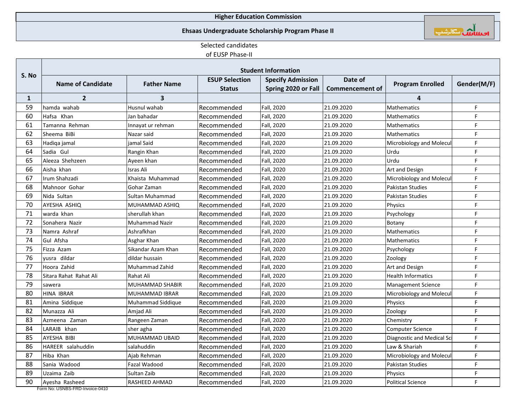## **Ehsaas Undergraduate Scholarship Program Phase II**



## Selected candidates

## of EUSP Phase-II

|              | <b>Student Information</b> |                       |                                        |                                                 |                                   |                            |             |  |
|--------------|----------------------------|-----------------------|----------------------------------------|-------------------------------------------------|-----------------------------------|----------------------------|-------------|--|
| S. No        | <b>Name of Candidate</b>   | <b>Father Name</b>    | <b>ESUP Selection</b><br><b>Status</b> | <b>Specify Admission</b><br>Spring 2020 or Fall | Date of<br><b>Commencement of</b> | <b>Program Enrolled</b>    | Gender(M/F) |  |
| $\mathbf{1}$ | $\overline{2}$             | 3                     |                                        |                                                 |                                   | 4                          |             |  |
| 59           | hamda wahab                | Husnul wahab          | Recommended                            | Fall, 2020                                      | 21.09.2020                        | Mathematics                | F           |  |
| 60           | Hafsa Khan                 | Jan bahadar           | Recommended                            | Fall, 2020                                      | 21.09.2020                        | Mathematics                | F           |  |
| 61           | Tamanna Rehman             | Innayat ur rehman     | Recommended                            | Fall, 2020                                      | 21.09.2020                        | Mathematics                | F           |  |
| 62           | Sheema BiBi                | Nazar said            | Recommended                            | Fall, 2020                                      | 21.09.2020                        | Mathematics                | F           |  |
| 63           | Hadiqa jamal               | iamal Said            | Recommended                            | Fall, 2020                                      | 21.09.2020                        | Microbiology and Molecul   | F.          |  |
| 64           | Sadia Gul                  | Rangin Khan           | Recommended                            | Fall, 2020                                      | 21.09.2020                        | Urdu                       | F           |  |
| 65           | Aleeza Shehzeen            | Ayeen khan            | Recommended                            | Fall, 2020                                      | 21.09.2020                        | Urdu                       | F           |  |
| 66           | Aisha khan                 | <b>Isras Ali</b>      | Recommended                            | Fall, 2020                                      | 21.09.2020                        | Art and Design             | F           |  |
| 67           | Irum Shahzadi              | Khaista Muhammad      | Recommended                            | Fall, 2020                                      | 21.09.2020                        | Microbiology and Molecul   | F           |  |
| 68           | Mahnoor Gohar              | Gohar Zaman           | Recommended                            | Fall, 2020                                      | 21.09.2020                        | <b>Pakistan Studies</b>    | F           |  |
| 69           | Nida Sultan                | Sultan Muhammad       | Recommended                            | Fall, 2020                                      | 21.09.2020                        | <b>Pakistan Studies</b>    | F           |  |
| 70           | AYESHA ASHIQ               | MUHAMMAD ASHIQ        | Recommended                            | Fall, 2020                                      | 21.09.2020                        | Physics                    | F           |  |
| 71           | warda khan                 | sherullah khan        | Recommended                            | Fall, 2020                                      | 21.09.2020                        | Psychology                 | F           |  |
| 72           | Sonahera Nazir             | <b>Muhammad Nazir</b> | Recommended                            | Fall, 2020                                      | 21.09.2020                        | Botany                     | E           |  |
| 73           | Namra Ashraf               | Ashrafkhan            | Recommended                            | Fall, 2020                                      | 21.09.2020                        | Mathematics                | F           |  |
| 74           | Gul Afsha                  | Asghar Khan           | Recommended                            | Fall, 2020                                      | 21.09.2020                        | Mathematics                | F           |  |
| 75           | Fizza Azam                 | Sikandar Azam Khan    | Recommended                            | Fall, 2020                                      | 21.09.2020                        | Psychology                 | F           |  |
| 76           | yusra dildar               | dildar hussain        | Recommended                            | Fall, 2020                                      | 21.09.2020                        | Zoology                    | F           |  |
| 77           | Hoora Zahid                | Muhammad Zahid        | Recommended                            | Fall, 2020                                      | 21.09.2020                        | Art and Design             | F           |  |
| 78           | Sitara Rahat Rahat Ali     | Rahat Ali             | Recommended                            | Fall, 2020                                      | 21.09.2020                        | <b>Health Informatics</b>  | E           |  |
| 79           | sawera                     | MUHAMMAD SHABIR       | Recommended                            | Fall, 2020                                      | 21.09.2020                        | <b>Management Science</b>  | F.          |  |
| 80           | HINA IBRAR                 | <b>MUHAMMAD IBRAR</b> | Recommended                            | Fall, 2020                                      | 21.09.2020                        | Microbiology and Molecul   | F           |  |
| 81           | Amina Siddique             | Muhammad Siddique     | Recommended                            | Fall, 2020                                      | 21.09.2020                        | <b>Physics</b>             | F           |  |
| 82           | Munazza Ali                | Amjad Ali             | Recommended                            | Fall, 2020                                      | 21.09.2020                        | Zoology                    | F           |  |
| 83           | Azmeena Zaman              | Rangeen Zaman         | Recommended                            | Fall, 2020                                      | 21.09.2020                        | Chemistry                  | F           |  |
| 84           | LARAIB khan                | sher agha             | Recommended                            | Fall, 2020                                      | 21.09.2020                        | <b>Computer Science</b>    | F           |  |
| 85           | AYESHA BIBI                | MUHAMMAD UBAID        | Recommended                            | Fall, 2020                                      | 21.09.2020                        | Diagnostic and Medical Sci | F           |  |
| 86           | HAREER salahuddin          | salahuddin            | Recommended                            | Fall, 2020                                      | 21.09.2020                        | Law & Shariah              | F           |  |
| 87           | Hiba Khan                  | Ajab Rehman           | Recommended                            | Fall, 2020                                      | 21.09.2020                        | Microbiology and Molecul   | F           |  |
| 88           | Sania Wadood               | Fazal Wadood          | Recommended                            | Fall, 2020                                      | 21.09.2020                        | <b>Pakistan Studies</b>    | F           |  |
| 89           | Uzaima Zaib                | Sultan Zaib           | Recommended                            | Fall, 2020                                      | 21.09.2020                        | Physics                    | F           |  |
| 90           | Ayesha Rasheed             | <b>RASHEED AHMAD</b>  | Recommended                            | Fall, 2020                                      | 21.09.2020                        | <b>Political Science</b>   | F.          |  |

Form No: USNBS-FRD-Invoice-0410

a Ta